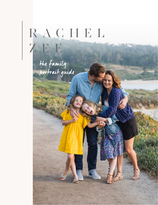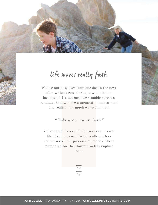

life moves really fast.

We live our busy lives from one day to the next often without considering how much time has passed. It's not until we stumble across a reminder that we take a moment to look around and realize how much we've changed.

*"Kids grow up so fast!"*

A photograph is a reminder to stop and savor life. It reminds us of what really matters and preserves our precious memories. These moments won't last forever, so let's capture them.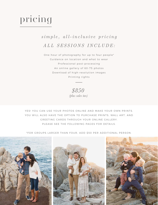## pricing

### *simple, all-inclusive pricing ALL SESSIONS INCLUDE:*

One hour of photography for up to four people\* Guidance on location and what to wear Professional post-processing An online gallery of 60-75 photos Download of high-resolution images Printing rights

> *\$850 (plus sales tax)*

YES! YOU CAN USE YOUR PHOTOS ONLINE AND MAKE YOUR OWN PRINTS. YOU WILL ALSO HAVE THE OPTION TO PURCHASE PRINTS, WALL ART, AND GREETING CARDS THROUGH YOUR ONLINE GALLERY. PLEASE SEE THE FOLLOWING PAGES FOR DETAILS.

\*FOR GROUPS LARGER THAN FOUR, ADD \$50 PER ADDITIONAL PERSON.

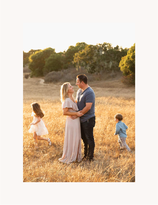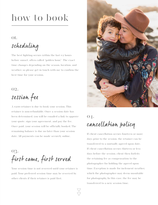## how to book

### scheduling 01.

The best lighting occurs within the last 1-2 hours before sunset, often called "golden hour." The exact time changes depending on the season, location, and weather, so please get in touch with me to confirm the best time for your session.

session fee 02.

A \$200 retainer is due to book your session. This retainer is non-refundable. Once a session date has been determined, you will be emailed a link to approve your quote, sign your agreement, and pay the fee. Once paid, your session will be officially booked. The remaining balance is due no later than your session date. All payments can be made securely online.

first come, first served 03.

Your session time is not reserved until your retainer is paid. Your preferred session time may be reserved by other clients if their retainer is paid first.



cancellation policy 04.

If client cancellation occurs fourteen or more days prior to the session, the retainer can be transferred to a mutually agreed upon date. If client cancellation occurs thirteen or less days before the session, client then forfeits the retaining fee as compensation to the photographer for holding the agreed upon time. Exception is made for inclement weather, which the photographer may deem unsuitable for photography. In this case, the fee may be transferred to a new session time.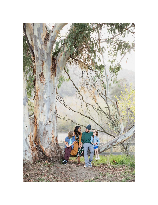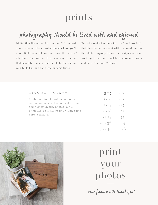### prints

### photography should be lived with and enjoyed

Digital files live on hard drives, on USBs in desk drawers, or on the crowded cloud where you'll never find them. I know you have the best of intentions for printing them someday. Creating that beautiful gallery wall or photo book is on your to do list (and has been for some time).

But who really has time for that? And wouldn't that time be better spent with the loved ones in the photos anyway? Leave the design and print work up to me and you'll have gorgeous prints and more free time. Win-win.

| FINE ART PRINTS                                                             | 5 X 7          | SIO        |
|-----------------------------------------------------------------------------|----------------|------------|
| Printed on Kodak professional paper,                                        | $8 \times 10$  | \$18       |
| so that you receive the longest lasting<br>and highest quality photographic | II X I4        | <b>S37</b> |
| prints available. Lustre finish with a fine                                 | $12 \times 18$ | <b>S53</b> |
| pebble texture.                                                             | $16 \times 24$ | <b>S75</b> |
|                                                                             | $24 \times 36$ | SI07       |
|                                                                             |                |            |



### $\mathbf{B}$  handmade boxes made from carefully  $\mathbf{B}$ print your van a control or shelf. Prints or shelf. Prints.  $\mathbf{b}$  $\mathbf{P}^{\mathbf{1}}$  $\overline{+}$ photos

30 x 40

\$128

your family will thank you!

 $\overline{3}$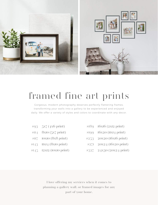

# framed fine art prints

Gorgeous, modern photography deserves perfectly flattering frames, transforming your walls into a gallery to be experienced and enjoyed daily. We offer a variety of styles and colors to coordinate with any decor.

- 5x7 (4x6 print) \$93
- 8x10 (5x7 print) \$114
- 10x10 (8x8 print) \$117
- \$143 **IIXI4** (8x10 print)
- 12x12 (10x10 print) \$145
- 16x16 (2x12 print) \$189
- 16x20 (11x14 print) \$199
- 20x20 (16x16 print) \$253
- 20x24 (16x20 print) \$271
- 24x30 (20x24 print) \$327

I love offering my services when it comes to planning a gallery wall, or framed images for any part of your home.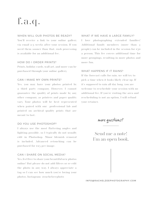## f.a.q.

#### WHEN WILL OUR PHOTOS BE READY?

You'll receive a link to your online gallery via email 2-3 weeks after your session. If you need them sooner than that, rush processing is available for an additional fee.

#### HOW DO I ORDER PRINTS?

Prints, holiday cards, wall art, and more can be purchased through your online gallery.

### CAN I MAKE MY OWN PRINTS?

Yes, you may have your photos printed by a third party company. However, I cannot guarantee the quality of prints made by any other company, as printers and paper quality vary. Your photos will be best represented when paired with our professional lab and printed on archival quality prints that are meant to last.

#### DO YOU USE PHOTOSHOP?

I always use the most flattering angles and lighting possible, so I typically do not usually edit in Photoshop. Minor blemish removal is included. Advanced retouching can be purchased for \$25 per image.

### CAN I SHARE ON SOCIAL MEDIA?

Yes, feel free to share your beautiful new photos online! But please do not add filters or re- edit the photo in any way. I always appreciate a tag so I can see how much you're loving your photos. Instagram: @rachelzeephoto

#### WHAT IF WE HAVE A LARGE FAMILY?

I love photographing extended families! Additional family members (more than 4 people) can be included in the session for \$50 a person. This fee covers additional time for more groupings, resulting in more photos and more fun.

#### WHAT HAPPENS IF IT RAINS?

If the forecast calls for rain, we will try to pick a time when it looks likely clear up. If it's supposed to rain all day long, you are welcome to reschedule your session with no additional fee. If you're visiting the area and rescheduling is not an option, I will refund your retainer.

more questions?

Send me a note! I'm an open book.

INFO@RACHELZEEPHOTOGRAPHY.COM